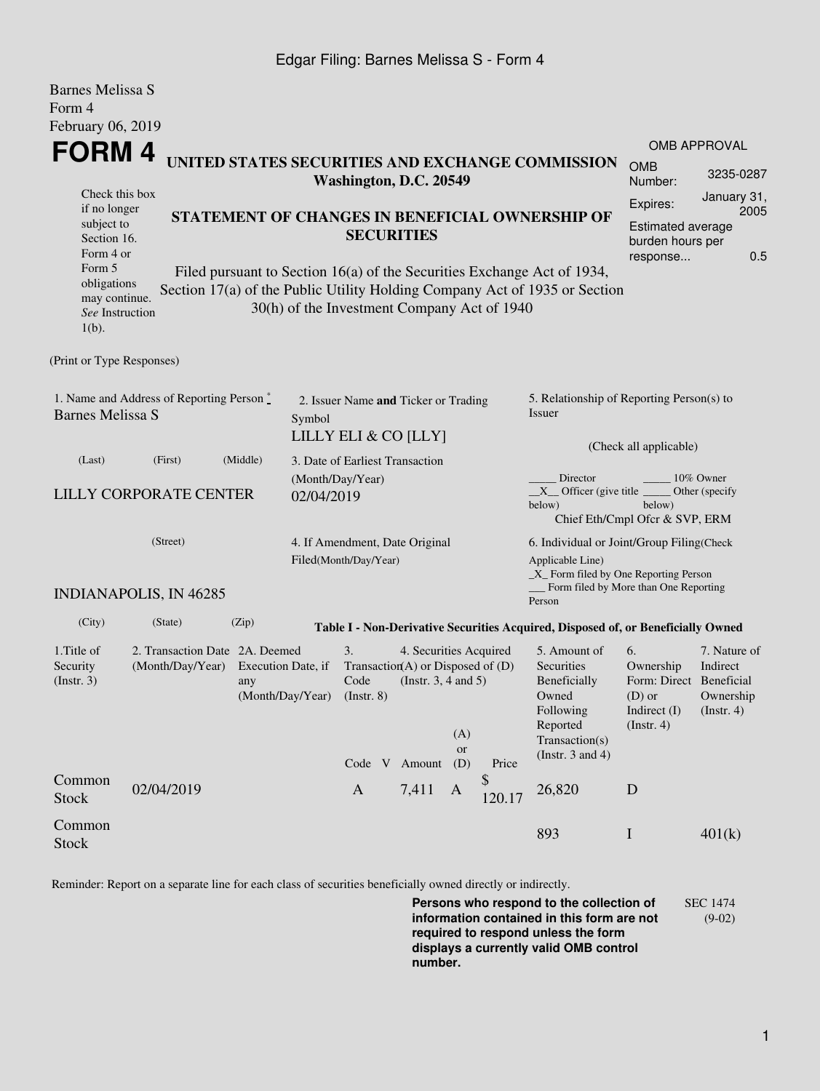### Edgar Filing: Barnes Melissa S - Form 4

Barnes Melissa S

| Darijes Melissa S<br>Form 4                                                                                                                                                                                                                                                                            |                               |          |                                                         |                                                                  |                                                    |                  |              |                                                                                                                                                    |                                                                                            |                                                      |  |
|--------------------------------------------------------------------------------------------------------------------------------------------------------------------------------------------------------------------------------------------------------------------------------------------------------|-------------------------------|----------|---------------------------------------------------------|------------------------------------------------------------------|----------------------------------------------------|------------------|--------------|----------------------------------------------------------------------------------------------------------------------------------------------------|--------------------------------------------------------------------------------------------|------------------------------------------------------|--|
| February 06, 2019                                                                                                                                                                                                                                                                                      |                               |          |                                                         |                                                                  |                                                    |                  |              |                                                                                                                                                    |                                                                                            | OMB APPROVAL                                         |  |
| <b>FORM4</b><br>UNITED STATES SECURITIES AND EXCHANGE COMMISSION<br>Washington, D.C. 20549                                                                                                                                                                                                             |                               |          |                                                         |                                                                  |                                                    |                  |              |                                                                                                                                                    | <b>OMB</b><br>Number:                                                                      | 3235-0287                                            |  |
| Check this box<br>if no longer<br>subject to<br>Section 16.                                                                                                                                                                                                                                            |                               |          |                                                         | <b>SECURITIES</b>                                                | STATEMENT OF CHANGES IN BENEFICIAL OWNERSHIP OF    |                  |              | Expires:<br><b>Estimated average</b><br>burden hours per                                                                                           | January 31,<br>2005                                                                        |                                                      |  |
| Form 4 or<br>response<br>Form 5<br>Filed pursuant to Section 16(a) of the Securities Exchange Act of 1934,<br>obligations<br>Section 17(a) of the Public Utility Holding Company Act of 1935 or Section<br>may continue.<br>30(h) of the Investment Company Act of 1940<br>See Instruction<br>$1(b)$ . |                               |          |                                                         |                                                                  |                                                    |                  |              |                                                                                                                                                    | 0.5                                                                                        |                                                      |  |
| (Print or Type Responses)                                                                                                                                                                                                                                                                              |                               |          |                                                         |                                                                  |                                                    |                  |              |                                                                                                                                                    |                                                                                            |                                                      |  |
| 1. Name and Address of Reporting Person $\stackrel{*}{\mathbb{L}}$<br><b>Barnes Melissa S</b>                                                                                                                                                                                                          |                               |          | Symbol                                                  | 2. Issuer Name and Ticker or Trading                             |                                                    |                  |              | 5. Relationship of Reporting Person(s) to<br>Issuer                                                                                                |                                                                                            |                                                      |  |
| (Last)                                                                                                                                                                                                                                                                                                 | (First)                       | (Middle) | LILLY ELI & CO [LLY]<br>3. Date of Earliest Transaction |                                                                  |                                                    |                  |              |                                                                                                                                                    | (Check all applicable)                                                                     |                                                      |  |
| <b>LILLY CORPORATE CENTER</b>                                                                                                                                                                                                                                                                          |                               |          | (Month/Day/Year)<br>02/04/2019                          |                                                                  |                                                    |                  |              | Director<br>10% Owner<br>$X$ Officer (give title $\overline{\phantom{a}}$<br>Other (specify)<br>below)<br>below)<br>Chief Eth/Cmpl Ofcr & SVP, ERM |                                                                                            |                                                      |  |
| (Street)                                                                                                                                                                                                                                                                                               |                               |          |                                                         | 4. If Amendment, Date Original<br>Filed(Month/Day/Year)          |                                                    |                  |              | 6. Individual or Joint/Group Filing(Check<br>Applicable Line)<br>$\_X$ Form filed by One Reporting Person<br>Form filed by More than One Reporting |                                                                                            |                                                      |  |
|                                                                                                                                                                                                                                                                                                        | <b>INDIANAPOLIS, IN 46285</b> |          |                                                         |                                                                  |                                                    |                  |              | Person                                                                                                                                             |                                                                                            |                                                      |  |
| (City)                                                                                                                                                                                                                                                                                                 | (State)                       | (Zip)    |                                                         |                                                                  |                                                    |                  |              | Table I - Non-Derivative Securities Acquired, Disposed of, or Beneficially Owned                                                                   |                                                                                            |                                                      |  |
| 1. Title of<br>2. Transaction Date 2A. Deemed<br>Security<br>(Month/Day/Year)<br>Execution Date, if<br>(Insert. 3)<br>any<br>(Month/Day/Year)                                                                                                                                                          |                               |          |                                                         | 3.<br>Transaction(A) or Disposed of $(D)$<br>Code<br>(Insert. 8) | 4. Securities Acquired<br>(Instr. $3, 4$ and $5$ ) | (A)              |              | 5. Amount of<br>Securities<br>Beneficially<br>Owned<br>Following<br>Reported<br>Transaction(s)                                                     | 6.<br>Ownership<br>Form: Direct Beneficial<br>$(D)$ or<br>Indirect (I)<br>$($ Instr. 4 $)$ | 7. Nature of<br>Indirect<br>Ownership<br>(Insert. 4) |  |
|                                                                                                                                                                                                                                                                                                        |                               |          |                                                         | Code V Amount                                                    |                                                    | <b>or</b><br>(D) | Price        | (Instr. $3$ and $4$ )                                                                                                                              |                                                                                            |                                                      |  |
| Common<br><b>Stock</b>                                                                                                                                                                                                                                                                                 | 02/04/2019                    |          |                                                         | $\mathbf{A}$                                                     | 7,411                                              | A                | \$<br>120.17 | 26,820                                                                                                                                             | D                                                                                          |                                                      |  |
| Common<br><b>Stock</b>                                                                                                                                                                                                                                                                                 |                               |          |                                                         |                                                                  |                                                    |                  |              | 893                                                                                                                                                | $\mathbf I$                                                                                | 401(k)                                               |  |

Reminder: Report on a separate line for each class of securities beneficially owned directly or indirectly.

**Persons who respond to the collection of information contained in this form are not required to respond unless the form displays a currently valid OMB control number.** SEC 1474 (9-02)